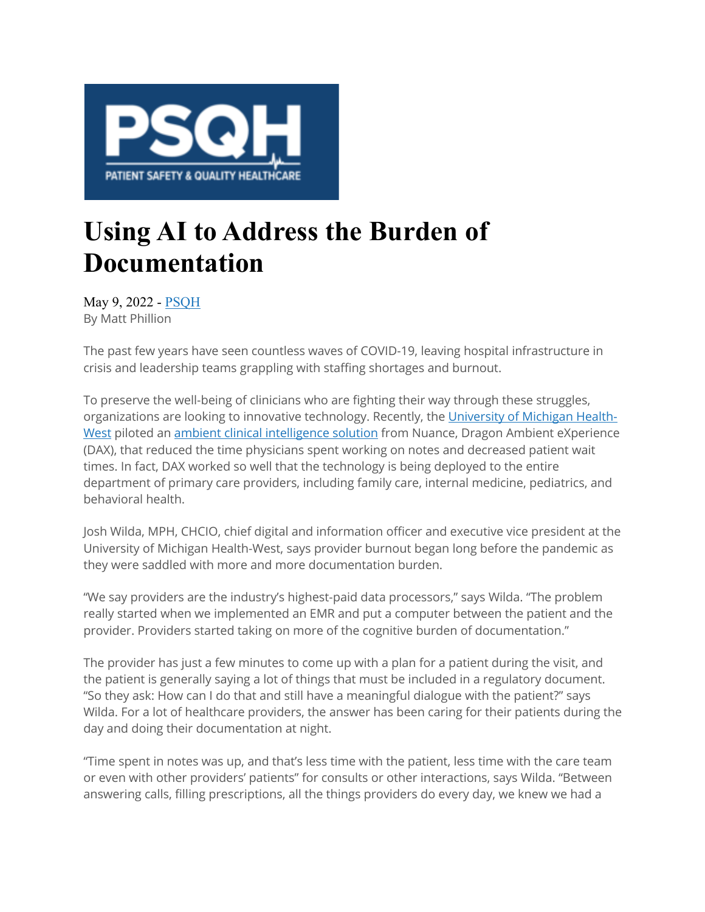

## **Using AI to Address the Burden of Documentation**

May 9, 2022 ‐ PSQH By Matt Phillion

The past few years have seen countless waves of COVID-19, leaving hospital infrastructure in crisis and leadership teams grappling with staffing shortages and burnout.

To preserve the well-being of clinicians who are fighting their way through these struggles, organizations are looking to innovative technology. Recently, the University of Michigan Health-West piloted an ambient clinical intelligence solution from Nuance, Dragon Ambient eXperience (DAX), that reduced the time physicians spent working on notes and decreased patient wait times. In fact, DAX worked so well that the technology is being deployed to the entire department of primary care providers, including family care, internal medicine, pediatrics, and behavioral health.

Josh Wilda, MPH, CHCIO, chief digital and information officer and executive vice president at the University of Michigan Health-West, says provider burnout began long before the pandemic as they were saddled with more and more documentation burden.

"We say providers are the industry's highest-paid data processors," says Wilda. "The problem really started when we implemented an EMR and put a computer between the patient and the provider. Providers started taking on more of the cognitive burden of documentation."

The provider has just a few minutes to come up with a plan for a patient during the visit, and the patient is generally saying a lot of things that must be included in a regulatory document. "So they ask: How can I do that and still have a meaningful dialogue with the patient?" says Wilda. For a lot of healthcare providers, the answer has been caring for their patients during the day and doing their documentation at night.

"Time spent in notes was up, and that's less time with the patient, less time with the care team or even with other providers' patients" for consults or other interactions, says Wilda. "Between answering calls, filling prescriptions, all the things providers do every day, we knew we had a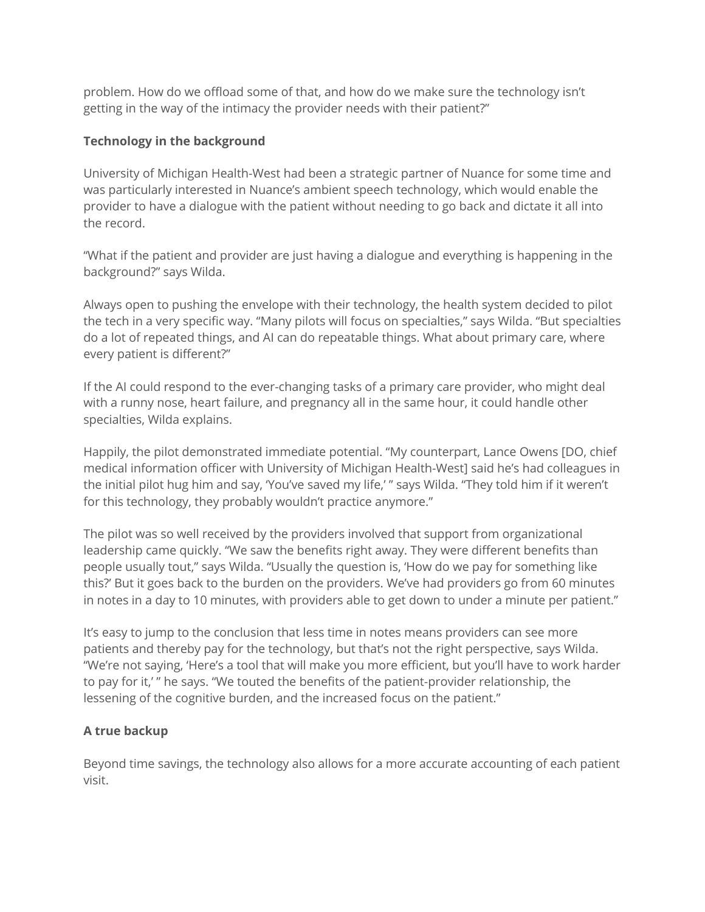problem. How do we offload some of that, and how do we make sure the technology isn't getting in the way of the intimacy the provider needs with their patient?"

## **Technology in the background**

University of Michigan Health-West had been a strategic partner of Nuance for some time and was particularly interested in Nuance's ambient speech technology, which would enable the provider to have a dialogue with the patient without needing to go back and dictate it all into the record.

"What if the patient and provider are just having a dialogue and everything is happening in the background?" says Wilda.

Always open to pushing the envelope with their technology, the health system decided to pilot the tech in a very specific way. "Many pilots will focus on specialties," says Wilda. "But specialties do a lot of repeated things, and AI can do repeatable things. What about primary care, where every patient is different?"

If the AI could respond to the ever-changing tasks of a primary care provider, who might deal with a runny nose, heart failure, and pregnancy all in the same hour, it could handle other specialties, Wilda explains.

Happily, the pilot demonstrated immediate potential. "My counterpart, Lance Owens [DO, chief medical information officer with University of Michigan Health-West] said he's had colleagues in the initial pilot hug him and say, 'You've saved my life,' " says Wilda. "They told him if it weren't for this technology, they probably wouldn't practice anymore."

The pilot was so well received by the providers involved that support from organizational leadership came quickly. "We saw the benefits right away. They were different benefits than people usually tout," says Wilda. "Usually the question is, 'How do we pay for something like this?' But it goes back to the burden on the providers. We've had providers go from 60 minutes in notes in a day to 10 minutes, with providers able to get down to under a minute per patient."

It's easy to jump to the conclusion that less time in notes means providers can see more patients and thereby pay for the technology, but that's not the right perspective, says Wilda. "We're not saying, 'Here's a tool that will make you more efficient, but you'll have to work harder to pay for it,' " he says. "We touted the benefits of the patient-provider relationship, the lessening of the cognitive burden, and the increased focus on the patient."

## **A true backup**

Beyond time savings, the technology also allows for a more accurate accounting of each patient visit.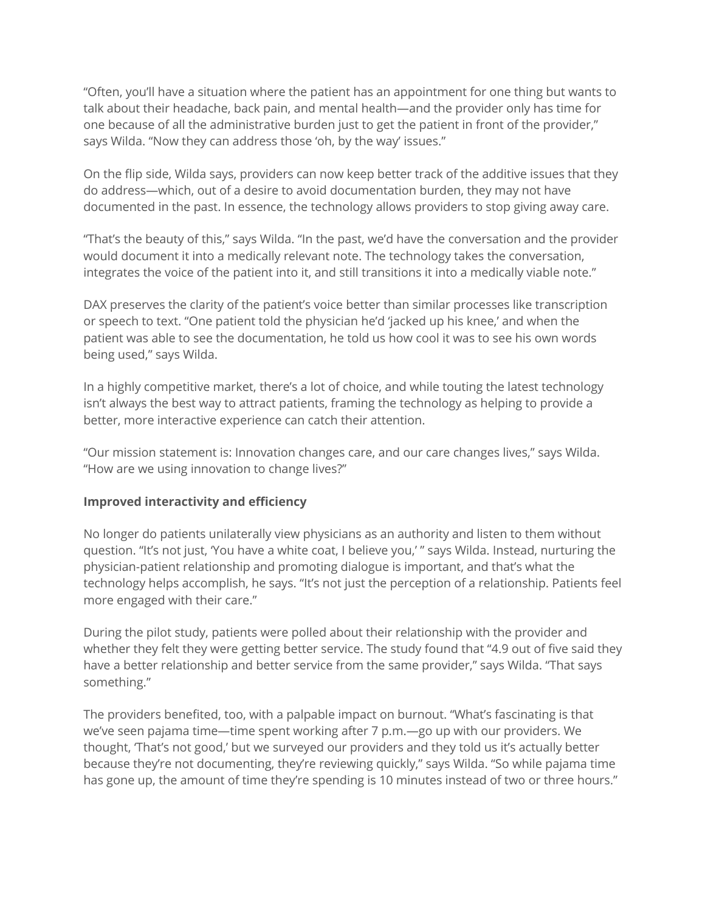"Often, you'll have a situation where the patient has an appointment for one thing but wants to talk about their headache, back pain, and mental health—and the provider only has time for one because of all the administrative burden just to get the patient in front of the provider," says Wilda. "Now they can address those 'oh, by the way' issues."

On the flip side, Wilda says, providers can now keep better track of the additive issues that they do address—which, out of a desire to avoid documentation burden, they may not have documented in the past. In essence, the technology allows providers to stop giving away care.

"That's the beauty of this," says Wilda. "In the past, we'd have the conversation and the provider would document it into a medically relevant note. The technology takes the conversation, integrates the voice of the patient into it, and still transitions it into a medically viable note."

DAX preserves the clarity of the patient's voice better than similar processes like transcription or speech to text. "One patient told the physician he'd 'jacked up his knee,' and when the patient was able to see the documentation, he told us how cool it was to see his own words being used," says Wilda.

In a highly competitive market, there's a lot of choice, and while touting the latest technology isn't always the best way to attract patients, framing the technology as helping to provide a better, more interactive experience can catch their attention.

"Our mission statement is: Innovation changes care, and our care changes lives," says Wilda. "How are we using innovation to change lives?"

## **Improved interactivity and efficiency**

No longer do patients unilaterally view physicians as an authority and listen to them without question. "It's not just, 'You have a white coat, I believe you,' " says Wilda. Instead, nurturing the physician-patient relationship and promoting dialogue is important, and that's what the technology helps accomplish, he says. "It's not just the perception of a relationship. Patients feel more engaged with their care."

During the pilot study, patients were polled about their relationship with the provider and whether they felt they were getting better service. The study found that "4.9 out of five said they have a better relationship and better service from the same provider," says Wilda. "That says something."

The providers benefited, too, with a palpable impact on burnout. "What's fascinating is that we've seen pajama time—time spent working after 7 p.m.—go up with our providers. We thought, 'That's not good,' but we surveyed our providers and they told us it's actually better because they're not documenting, they're reviewing quickly," says Wilda. "So while pajama time has gone up, the amount of time they're spending is 10 minutes instead of two or three hours."